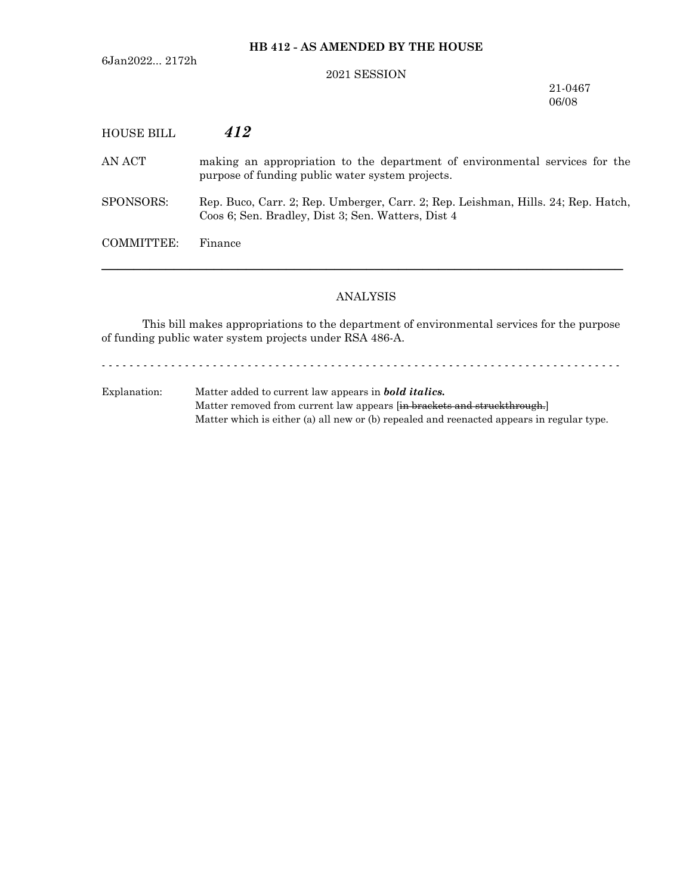6Jan2022... 2172h

# **HB 412 - AS AMENDED BY THE HOUSE**

#### 2021 SESSION

21-0467 06/08

| HOUSE BILL | 412                                                                                                                                     |
|------------|-----------------------------------------------------------------------------------------------------------------------------------------|
| AN ACT     | making an appropriation to the department of environmental services for the<br>purpose of funding public water system projects.         |
| SPONSORS:  | Rep. Buco, Carr. 2; Rep. Umberger, Carr. 2; Rep. Leishman, Hills. 24; Rep. Hatch,<br>Coos 6; Sen. Bradley, Dist 3; Sen. Watters, Dist 4 |
| COMMITTEE: | Finance                                                                                                                                 |

# ANALYSIS

─────────────────────────────────────────────────────────────────

This bill makes appropriations to the department of environmental services for the purpose of funding public water system projects under RSA 486-A.

- - - - - - - - - - - - - - - - - - - - - - - - - - - - - - - - - - - - - - - - - - - - - - - - - - - - - - - - - - - - - - - - - - - - - - - - - - -

Explanation: Matter added to current law appears in *bold italics.* Matter removed from current law appears [in brackets and struckthrough.] Matter which is either (a) all new or (b) repealed and reenacted appears in regular type.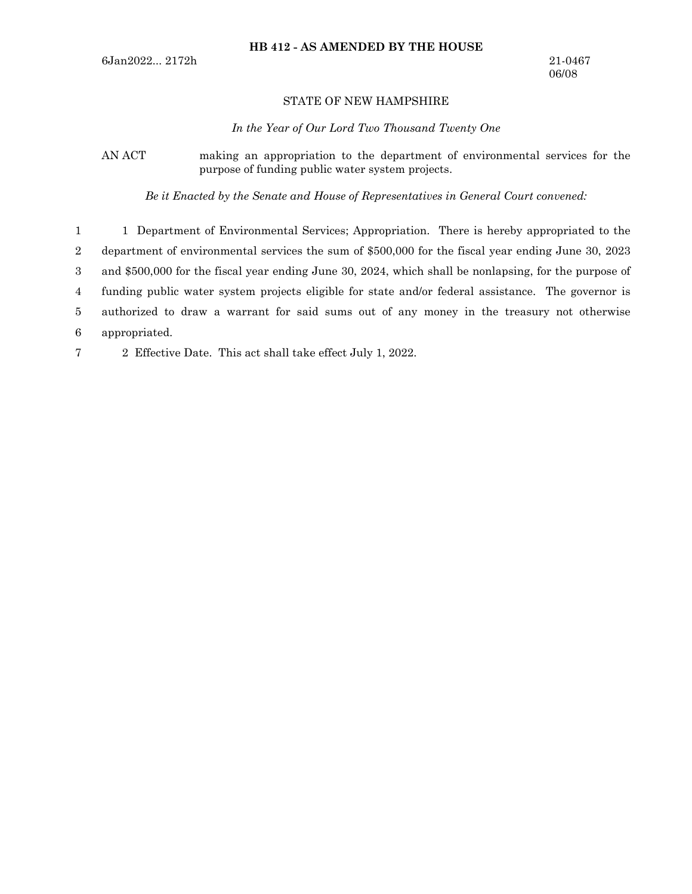# **HB 412 - AS AMENDED BY THE HOUSE**

## STATE OF NEW HAMPSHIRE

*In the Year of Our Lord Two Thousand Twenty One*

AN ACT making an appropriation to the department of environmental services for the purpose of funding public water system projects.

*Be it Enacted by the Senate and House of Representatives in General Court convened:*

1 Department of Environmental Services; Appropriation. There is hereby appropriated to the department of environmental services the sum of \$500,000 for the fiscal year ending June 30, 2023 and \$500,000 for the fiscal year ending June 30, 2024, which shall be nonlapsing, for the purpose of funding public water system projects eligible for state and/or federal assistance. The governor is authorized to draw a warrant for said sums out of any money in the treasury not otherwise appropriated. 1 2 3 4 5 6

2 Effective Date. This act shall take effect July 1, 2022. 7